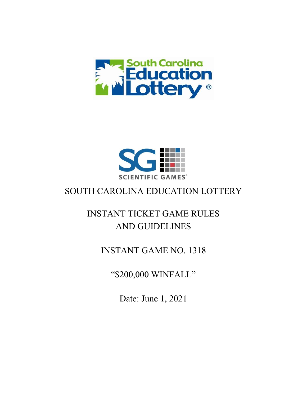



### SOUTH CAROLINA EDUCATION LOTTERY

# INSTANT TICKET GAME RULES AND GUIDELINES

### INSTANT GAME NO. 1318

"\$200,000 WINFALL"

Date: June 1, 2021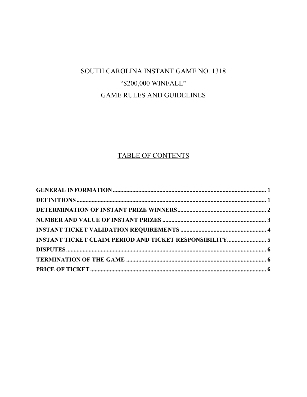## SOUTH CAROLINA INSTANT GAME NO. 1318 "\$200,000 WINFALL" **GAME RULES AND GUIDELINES**

### TABLE OF CONTENTS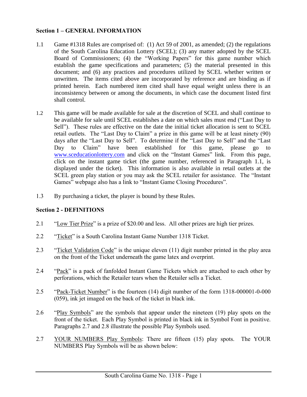#### <span id="page-2-0"></span>**Section 1 – GENERAL INFORMATION**

- 1.1 Game #1318 Rules are comprised of: (1) Act 59 of 2001, as amended; (2) the regulations of the South Carolina Education Lottery (SCEL); (3) any matter adopted by the SCEL Board of Commissioners; (4) the "Working Papers" for this game number which establish the game specifications and parameters; (5) the material presented in this document; and (6) any practices and procedures utilized by SCEL whether written or unwritten. The items cited above are incorporated by reference and are binding as if printed herein. Each numbered item cited shall have equal weight unless there is an inconsistency between or among the documents, in which case the document listed first shall control.
- 1.2 This game will be made available for sale at the discretion of SCEL and shall continue to be available for sale until SCEL establishes a date on which sales must end ("Last Day to Sell"). These rules are effective on the date the initial ticket allocation is sent to SCEL retail outlets. The "Last Day to Claim" a prize in this game will be at least ninety (90) days after the "Last Day to Sell". To determine if the "Last Day to Sell" and the "Last Day to Claim" have been established for this game, please go to [www.sceducationlottery.com](http://www.sceducationlottery.com/) and click on the "Instant Games" link. From this page, click on the instant game ticket (the game number, referenced in Paragraph 1.1, is displayed under the ticket). This information is also available in retail outlets at the SCEL green play station or you may ask the SCEL retailer for assistance. The "Instant Games" webpage also has a link to "Instant Game Closing Procedures".
- 1.3 By purchasing a ticket, the player is bound by these Rules.

### <span id="page-2-1"></span>**Section 2 - DEFINITIONS**

- 2.1 "Low Tier Prize" is a prize of \$20.00 and less. All other prizes are high tier prizes.
- 2.2 "Ticket" is a South Carolina Instant Game Number 1318 Ticket.
- 2.3 "Ticket Validation Code" is the unique eleven (11) digit number printed in the play area on the front of the Ticket underneath the game latex and overprint.
- 2.4 "Pack" is a pack of fanfolded Instant Game Tickets which are attached to each other by perforations, which the Retailer tears when the Retailer sells a Ticket.
- 2.5 "Pack-Ticket Number" is the fourteen (14) digit number of the form 1318-000001-0-000 (059), ink jet imaged on the back of the ticket in black ink.
- 2.6 "Play Symbols" are the symbols that appear under the nineteen (19) play spots on the front of the ticket. Each Play Symbol is printed in black ink in Symbol Font in positive. Paragraphs 2.7 and 2.8 illustrate the possible Play Symbols used.
- 2.7 YOUR NUMBERS Play Symbols: There are fifteen (15) play spots. The YOUR NUMBERS Play Symbols will be as shown below: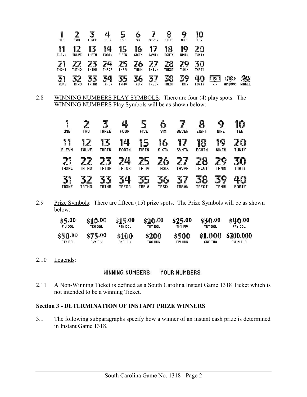| 1<br>ONE           | TWO                | <b>THREE</b>       | 4<br><b>FOUR</b>   | J<br><b>FIVE</b>   | O<br><b>SIX</b>    | <b>SEVEN</b>           | <b>EIGHT</b>       | 9<br><b>NINE</b>   | 10<br>TEN          |            |                           |                    |
|--------------------|--------------------|--------------------|--------------------|--------------------|--------------------|------------------------|--------------------|--------------------|--------------------|------------|---------------------------|--------------------|
| 11<br><b>ELEVN</b> | 12<br><b>THLVE</b> | 13<br><b>THRTN</b> | 14<br><b>FORTN</b> | 15<br><b>FIFTN</b> | 16<br><b>SIXTN</b> | 17<br><b>SVNTN</b>     | 18<br><b>EGHTN</b> | 19<br><b>NINTN</b> | 20<br><b>THNTY</b> |            |                           |                    |
| THONE              | <b>THTHO</b>       | <b>TWTHR</b>       | 74<br><b>THFOR</b> | <b>THFIV</b>       | 6<br>TWSIX         | 7<br>7<br><b>THSVN</b> | 8<br>THEGT         | 29<br><b>THNIN</b> | 30<br><b>THRTY</b> |            |                           |                    |
| 31<br>TRONE        | <b>TRTWO</b>       | <b>TRTHR</b>       | 4<br>TRFOR         | ▀<br>TRFIV         | 6<br><b>TRSIX</b>  | 37<br><b>TRSVN</b>     | 38<br>TREGT        | 39<br>TRNIN        | 40<br><b>FORTY</b> | <b>HIN</b> | \$1003<br><b>WIN\$100</b> | 臵<br><b>WINALL</b> |

2.8 WINNING NUMBERS PLAY SYMBOLS: There are four (4) play spots. The WINNING NUMBERS Play Symbols will be as shown below:

| 1<br>ONE               | THO                | THREE              | 4<br><b>FOUR</b>                  | <b>FIVE</b>        | 6<br><b>SIX</b>    | <b>SEVEN</b>           | 8<br><b>EIGHT</b>  | 9<br><b>NINE</b>          | 10<br><b>TEN</b>   |
|------------------------|--------------------|--------------------|-----------------------------------|--------------------|--------------------|------------------------|--------------------|---------------------------|--------------------|
| 11<br><b>ELEVN</b>     | 12<br><b>THLVE</b> | 13<br><b>THRTN</b> | 14<br><b>FORTN</b>                | 15<br><b>FIFTN</b> | 16<br><b>SIXTN</b> | 17<br><b>SVNTN</b>     | 18<br><b>EGHTN</b> | 19<br><b>NINTN</b>        | 20<br><b>THNTY</b> |
| 2<br>1<br><b>THONE</b> | <b>THTHO</b>       | <b>TWTHR</b>       | $\overline{\mathcal{L}}$<br>TWFOR | L,<br><b>THFIV</b> | 6<br><b>THSIX</b>  | 7<br>7<br><b>THSVN</b> | 8<br><b>THEGT</b>  | 29<br><b>THNIN</b>        | <b>THRTY</b>       |
| 31<br><b>TRONE</b>     | <b>TRTWO</b>       | <b>TRTHR</b>       | TRFOR                             | 5<br><b>TRFIV</b>  | 36<br><b>TRSIX</b> | 7<br>3<br><b>TRSVN</b> | 8<br>TREGT         | 3<br>$\mathbf Q$<br>TRNIN | <b>FORTY</b>       |

2.9 Prize Symbols: There are fifteen (15) prize spots. The Prize Symbols will be as shown below:

| \$5,00  | \$10.00 | \$15.00 | \$20.00      | \$25.00      | \$30.00 | \$40.00   |
|---------|---------|---------|--------------|--------------|---------|-----------|
| FIV DOL | TEN DOL | FTN DOL | TWY DOL      | THY FIV      | TRY DOL | FRY DOL.  |
| \$50.00 | \$75.00 | \$100   | <b>\$200</b> | <b>\$500</b> | \$1,000 | \$200,000 |
| FTY DOL | SVY FIV | ONE HUN | TWO HUN      | FIV HUN      | ONE THO | тинн тно  |

2.10 Legends:

#### <span id="page-3-0"></span>**WINNING NUMBERS** YOUR NUMBERS

2.11 A Non-Winning Ticket is defined as a South Carolina Instant Game 1318 Ticket which is not intended to be a winning Ticket.

#### **Section 3 - DETERMINATION OF INSTANT PRIZE WINNERS**

3.1 The following subparagraphs specify how a winner of an instant cash prize is determined in Instant Game 1318.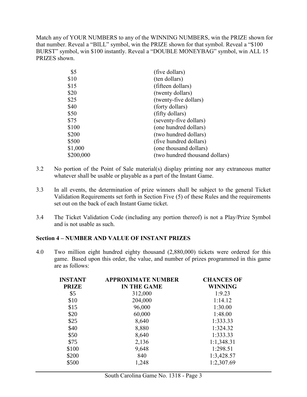Match any of YOUR NUMBERS to any of the WINNING NUMBERS, win the PRIZE shown for that number. Reveal a "BILL" symbol, win the PRIZE shown for that symbol. Reveal a "\$100 BURST" symbol, win \$100 instantly. Reveal a "DOUBLE MONEYBAG" symbol, win ALL 15 PRIZES shown.

| \$5       | (five dollars)                 |
|-----------|--------------------------------|
| \$10      | (ten dollars)                  |
| \$15      | (fifteen dollars)              |
| \$20      | (twenty dollars)               |
| \$25      | (twenty-five dollars)          |
| \$40      | (forty dollars)                |
| \$50      | (fifty dollars)                |
| \$75      | (seventy-five dollars)         |
| \$100     | (one hundred dollars)          |
| \$200     | (two hundred dollars)          |
| \$500     | (five hundred dollars)         |
| \$1,000   | (one thousand dollars)         |
| \$200,000 | (two hundred thousand dollars) |

- 3.2 No portion of the Point of Sale material(s) display printing nor any extraneous matter whatever shall be usable or playable as a part of the Instant Game.
- 3.3 In all events, the determination of prize winners shall be subject to the general Ticket Validation Requirements set forth in Section Five (5) of these Rules and the requirements set out on the back of each Instant Game ticket.
- 3.4 The Ticket Validation Code (including any portion thereof) is not a Play/Prize Symbol and is not usable as such.

#### **Section 4 – NUMBER AND VALUE OF INSTANT PRIZES**

4.0 Two million eight hundred eighty thousand (2,880,000) tickets were ordered for this game. Based upon this order, the value, and number of prizes programmed in this game are as follows:

<span id="page-4-0"></span>

| <b>INSTANT</b> | <b>APPROXIMATE NUMBER</b> | <b>CHANCES OF</b> |
|----------------|---------------------------|-------------------|
| <b>PRIZE</b>   | <b>IN THE GAME</b>        | <b>WINNING</b>    |
| \$5            | 312,000                   | 1:9.23            |
| \$10           | 204,000                   | 1:14.12           |
| \$15           | 96,000                    | 1:30.00           |
| \$20           | 60,000                    | 1:48.00           |
| \$25           | 8,640                     | 1:333.33          |
| \$40           | 8,880                     | 1:324.32          |
| \$50           | 8,640                     | 1:333.33          |
| \$75           | 2,136                     | 1:1,348.31        |
| \$100          | 9,648                     | 1:298.51          |
| \$200          | 840                       | 1:3,428.57        |
| \$500          | 1,248                     | 1:2,307.69        |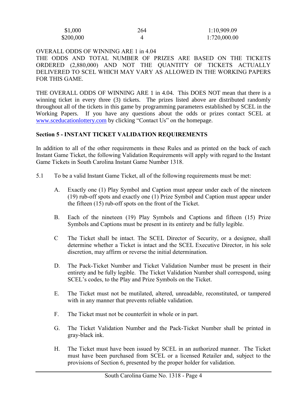| \$1,000   | 264 | 1:10,909.09  |
|-----------|-----|--------------|
| \$200,000 |     | 1:720,000.00 |

#### OVERALL ODDS OF WINNING ARE 1 in 4.04

THE ODDS AND TOTAL NUMBER OF PRIZES ARE BASED ON THE TICKETS ORDERED (2,880,000) AND NOT THE QUANTITY OF TICKETS ACTUALLY DELIVERED TO SCEL WHICH MAY VARY AS ALLOWED IN THE WORKING PAPERS FOR THIS GAME.

THE OVERALL ODDS OF WINNING ARE 1 in 4.04. This DOES NOT mean that there is a winning ticket in every three (3) tickets. The prizes listed above are distributed randomly throughout all of the tickets in this game by programming parameters established by SCEL in the Working Papers. If you have any questions about the odds or prizes contact SCEL at [www.sceducationlottery.com](http://www.sceducationlottery.com/) by clicking "Contact Us" on the homepage.

#### <span id="page-5-0"></span>**Section 5 - INSTANT TICKET VALIDATION REQUIREMENTS**

In addition to all of the other requirements in these Rules and as printed on the back of each Instant Game Ticket, the following Validation Requirements will apply with regard to the Instant Game Tickets in South Carolina Instant Game Number 1318.

- 5.1 To be a valid Instant Game Ticket, all of the following requirements must be met:
	- A. Exactly one (1) Play Symbol and Caption must appear under each of the nineteen (19) rub-off spots and exactly one (1) Prize Symbol and Caption must appear under the fifteen (15) rub-off spots on the front of the Ticket.
	- B. Each of the nineteen (19) Play Symbols and Captions and fifteen (15) Prize Symbols and Captions must be present in its entirety and be fully legible.
	- C The Ticket shall be intact. The SCEL Director of Security, or a designee, shall determine whether a Ticket is intact and the SCEL Executive Director, in his sole discretion, may affirm or reverse the initial determination.
	- D. The Pack-Ticket Number and Ticket Validation Number must be present in their entirety and be fully legible. The Ticket Validation Number shall correspond, using SCEL's codes, to the Play and Prize Symbols on the Ticket.
	- E. The Ticket must not be mutilated, altered, unreadable, reconstituted, or tampered with in any manner that prevents reliable validation.
	- F. The Ticket must not be counterfeit in whole or in part.
	- G. The Ticket Validation Number and the Pack-Ticket Number shall be printed in gray-black ink.
	- H. The Ticket must have been issued by SCEL in an authorized manner. The Ticket must have been purchased from SCEL or a licensed Retailer and, subject to the provisions of Section 6, presented by the proper holder for validation.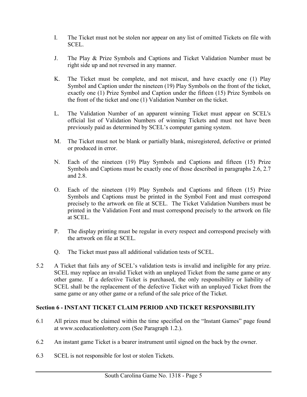- I. The Ticket must not be stolen nor appear on any list of omitted Tickets on file with SCEL.
- J. The Play & Prize Symbols and Captions and Ticket Validation Number must be right side up and not reversed in any manner.
- K. The Ticket must be complete, and not miscut, and have exactly one (1) Play Symbol and Caption under the nineteen (19) Play Symbols on the front of the ticket, exactly one (1) Prize Symbol and Caption under the fifteen (15) Prize Symbols on the front of the ticket and one (1) Validation Number on the ticket.
- L. The Validation Number of an apparent winning Ticket must appear on SCEL's official list of Validation Numbers of winning Tickets and must not have been previously paid as determined by SCEL's computer gaming system.
- M. The Ticket must not be blank or partially blank, misregistered, defective or printed or produced in error.
- N. Each of the nineteen (19) Play Symbols and Captions and fifteen (15) Prize Symbols and Captions must be exactly one of those described in paragraphs 2.6, 2.7 and 2.8.
- O. Each of the nineteen (19) Play Symbols and Captions and fifteen (15) Prize Symbols and Captions must be printed in the Symbol Font and must correspond precisely to the artwork on file at SCEL. The Ticket Validation Numbers must be printed in the Validation Font and must correspond precisely to the artwork on file at SCEL.
- P. The display printing must be regular in every respect and correspond precisely with the artwork on file at SCEL.
- <span id="page-6-0"></span>Q. The Ticket must pass all additional validation tests of SCEL.
- 5.2 A Ticket that fails any of SCEL's validation tests is invalid and ineligible for any prize. SCEL may replace an invalid Ticket with an unplayed Ticket from the same game or any other game. If a defective Ticket is purchased, the only responsibility or liability of SCEL shall be the replacement of the defective Ticket with an unplayed Ticket from the same game or any other game or a refund of the sale price of the Ticket.

### **Section 6 - INSTANT TICKET CLAIM PERIOD AND TICKET RESPONSIBILITY**

- 6.1 All prizes must be claimed within the time specified on the "Instant Games" page found at [www.sceducationlottery.com](file://///marion/legal/INSTANT%20GAME%20RULES/www.sceducationlottery.com) (See Paragraph 1.2.).
- 6.2 An instant game Ticket is a bearer instrument until signed on the back by the owner.
- 6.3 SCEL is not responsible for lost or stolen Tickets.